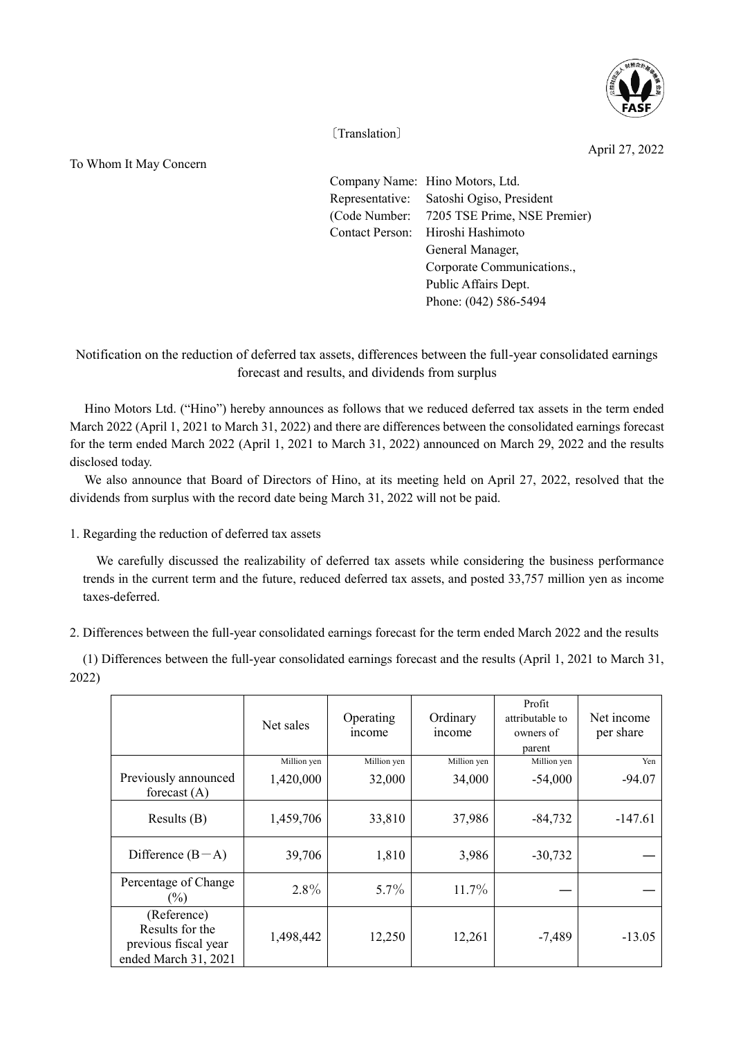

〔Translation〕

April 27, 2022

To Whom It May Concern

Company Name: Hino Motors, Ltd. Representative: Satoshi Ogiso, President (Code Number: 7205 TSE Prime, NSE Premier) Contact Person: Hiroshi Hashimoto General Manager, Corporate Communications., Public Affairs Dept. Phone: (042) 586-5494

Notification on the reduction of deferred tax assets, differences between the full-year consolidated earnings forecast and results, and dividends from surplus

Hino Motors Ltd. ("Hino") hereby announces as follows that we reduced deferred tax assets in the term ended March 2022 (April 1, 2021 to March 31, 2022) and there are differences between the consolidated earnings forecast for the term ended March 2022 (April 1, 2021 to March 31, 2022) announced on March 29, 2022 and the results disclosed today.

We also announce that Board of Directors of Hino, at its meeting held on April 27, 2022, resolved that the dividends from surplus with the record date being March 31, 2022 will not be paid.

1. Regarding the reduction of deferred tax assets

 We carefully discussed the realizability of deferred tax assets while considering the business performance trends in the current term and the future, reduced deferred tax assets, and posted 33,757 million yen as income taxes-deferred.

2. Differences between the full-year consolidated earnings forecast for the term ended March 2022 and the results

(1) Differences between the full-year consolidated earnings forecast and the results (April 1, 2021 to March 31, 2022)

|                                                                                | Net sales   | Operating<br>income | Ordinary<br>income | Profit<br>attributable to<br>owners of<br>parent | Net income<br>per share |
|--------------------------------------------------------------------------------|-------------|---------------------|--------------------|--------------------------------------------------|-------------------------|
|                                                                                | Million yen | Million yen         | Million yen        | Million yen                                      | Yen                     |
| Previously announced<br>forecast $(A)$                                         | 1,420,000   | 32,000              | 34,000             | $-54,000$                                        | $-94.07$                |
| Results $(B)$                                                                  | 1,459,706   | 33,810              | 37,986             | $-84,732$                                        | $-147.61$               |
| Difference $(B-A)$                                                             | 39,706      | 1,810               | 3,986              | $-30,732$                                        |                         |
| Percentage of Change<br>$(\%)$                                                 | $2.8\%$     | $5.7\%$             | 11.7%              |                                                  |                         |
| (Reference)<br>Results for the<br>previous fiscal year<br>ended March 31, 2021 | 1,498,442   | 12,250              | 12,261             | $-7,489$                                         | $-13.05$                |